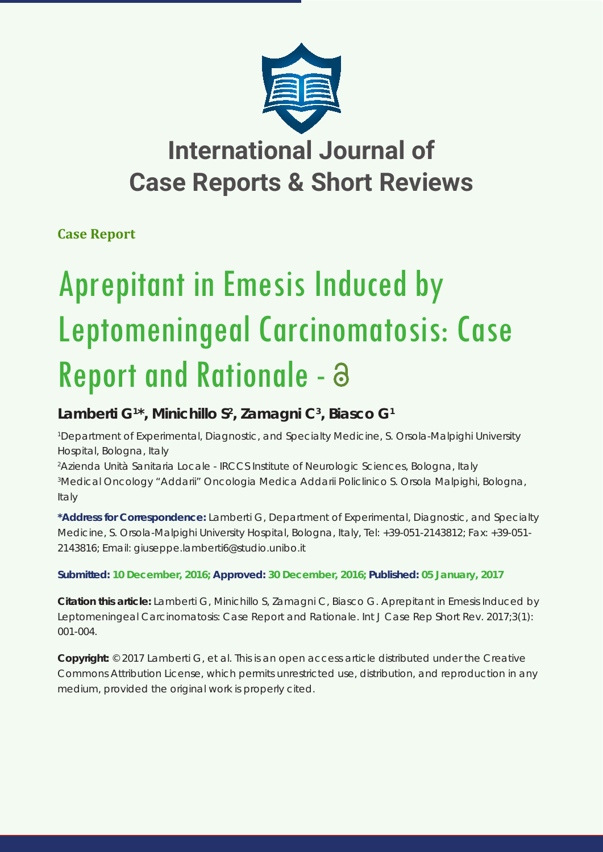

# **International Journal of Case Reports & Short Reviews**

## **Case Report**

# Aprepitant in Emesis Induced by Leptomeningeal Carcinomatosis: Case Report and Rationale - a

## $L$ amberti G<sup>1\*</sup>, Minichillo S<sup>2</sup>, Zamagni C<sup>3</sup>, Biasco G<sup>1</sup>

*1 Department of Experimental, Diagnostic, and Specialty Medicine, S. Orsola-Malpighi University Hospital, Bologna, Italy*

*2 Azienda Unità Sanitaria Locale - IRCCS Institute of Neurologic Sciences, Bologna, Italy 3 Medical Oncology "Addarii" Oncologia Medica Addarii Policlinico S. Orsola Malpighi, Bologna, Italy*

**\*Address for Correspondence:** Lamberti G, Department of Experimental, Diagnostic, and Specialty Medicine, S. Orsola-Malpighi University Hospital, Bologna, Italy, Tel: +39-051-2143812; Fax: +39-051- 2143816; Email: giuseppe.lamberti6@studio.unibo.it

**Submitted: 10 December, 2016; Approved: 30 December, 2016; Published: 05 January, 2017**

**Citation this article:** Lamberti G, Minichillo S, Zamagni C, Biasco G. Aprepitant in Emesis Induced by Leptomeningeal Carcinomatosis: Case Report and Rationale. Int J Case Rep Short Rev. 2017;3(1): 001-004.

**Copyright:** © 2017 Lamberti G, et al. This is an open access article distributed under the Creative Commons Attribution License, which permits unrestricted use, distribution, and reproduction in any medium, provided the original work is properly cited.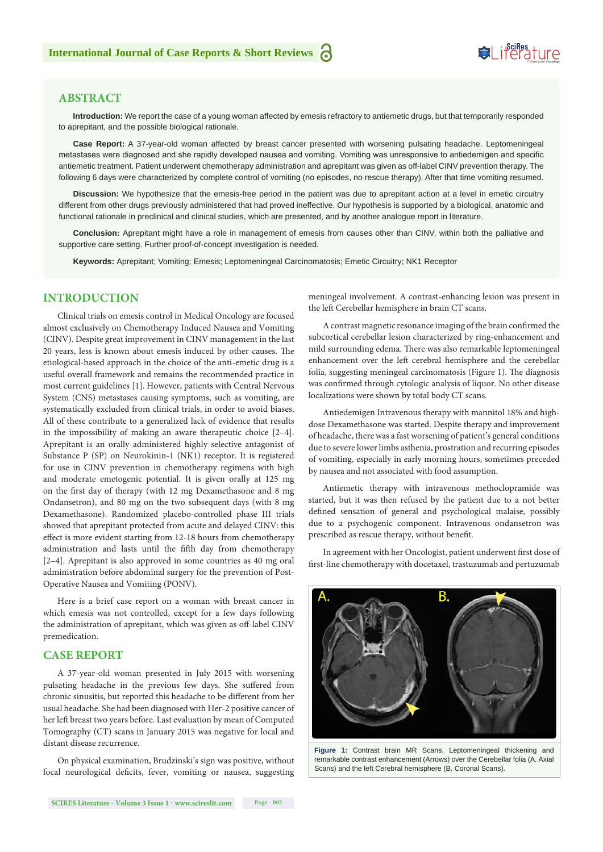## **SeiRes** ture

## **ABSTRACT**

**Introduction:** We report the case of a young woman affected by emesis refractory to antiemetic drugs, but that temporarily responded to aprepitant, and the possible biological rationale.

**Case Report:** A 37-year-old woman affected by breast cancer presented with worsening pulsating headache. Leptomeningeal metastases were diagnosed and she rapidly developed nausea and vomiting. Vomiting was unresponsive to antiedemigen and specific antiemetic treatment. Patient underwent chemotherapy administration and aprepitant was given as off-label CINV prevention therapy. The following 6 days were characterized by complete control of vomiting (no episodes, no rescue therapy). After that time vomiting resumed.

**Discussion:** We hypothesize that the emesis-free period in the patient was due to aprepitant action at a level in emetic circuitry different from other drugs previously administered that had proved ineffective. Our hypothesis is supported by a biological, anatomic and functional rationale in preclinical and clinical studies, which are presented, and by another analogue report in literature.

**Conclusion:** Aprepitant might have a role in management of emesis from causes other than CINV, within both the palliative and supportive care setting. Further proof-of-concept investigation is needed.

**Keywords:** Aprepitant; Vomiting; Emesis; Leptomeningeal Carcinomatosis; Emetic Circuitry; NK1 Receptor

## **INTRODUCTION**

Clinical trials on emesis control in Medical Oncology are focused almost exclusively on Chemotherapy Induced Nausea and Vomiting (CINV). Despite great improvement in CINV management in the last 20 years, less is known about emesis induced by other causes. The etiological-based approach in the choice of the anti-emetic drug is a useful overall framework and remains the recommended practice in most current guidelines [1]. However, patients with Central Nervous System (CNS) metastases causing symptoms, such as vomiting, are systematically excluded from clinical trials, in order to avoid biases. All of these contribute to a generalized lack of evidence that results in the impossibility of making an aware therapeutic choice [2–4]. Aprepitant is an orally administered highly selective antagonist of Substance P (SP) on Neurokinin-1 (NK1) receptor. It is registered for use in CINV prevention in chemotherapy regimens with high and moderate emetogenic potential. It is given orally at 125 mg on the first day of therapy (with 12 mg Dexamethasone and 8 mg Ondansetron), and 80 mg on the two subsequent days (with 8 mg Dexamethasone). Randomized placebo-controlled phase III trials showed that aprepitant protected from acute and delayed CINV: this effect is more evident starting from 12-18 hours from chemotherapy administration and lasts until the fifth day from chemotherapy [2–4]. Aprepitant is also approved in some countries as 40 mg oral administration before abdominal surgery for the prevention of Post-Operative Nausea and Vomiting (PONV).

Here is a brief case report on a woman with breast cancer in which emesis was not controlled, except for a few days following the administration of aprepitant, which was given as off-label CINV premedication.

#### **CASE REPORT**

A 37-year-old woman presented in July 2015 with worsening pulsating headache in the previous few days. She suffered from chronic sinusitis, but reported this headache to be different from her usual headache. She had been diagnosed with Her-2 positive cancer of her left breast two years before. Last evaluation by mean of Computed Tomography (CT) scans in January 2015 was negative for local and distant disease recurrence.

On physical examination, Brudzinski's sign was positive, without focal neurological deficits, fever, vomiting or nausea, suggesting meningeal involvement. A contrast-enhancing lesion was present in the left Cerebellar hemisphere in brain CT scans.

A contrast magnetic resonance imaging of the brain confirmed the subcortical cerebellar lesion characterized by ring-enhancement and mild surrounding edema. There was also remarkable leptomeningeal enhancement over the left cerebral hemisphere and the cerebellar folia, suggesting meningeal carcinomatosis (Figure 1). The diagnosis was confirmed through cytologic analysis of liquor. No other disease localizations were shown by total body CT scans.

Antiedemigen Intravenous therapy with mannitol 18% and highdose Dexamethasone was started. Despite therapy and improvement of headache, there was a fast worsening of patient's general conditions due to severe lower limbs asthenia, prostration and recurring episodes of vomiting, especially in early morning hours, sometimes preceded by nausea and not associated with food assumption.

Antiemetic therapy with intravenous methoclopramide was started, but it was then refused by the patient due to a not better defined sensation of general and psychological malaise, possibly due to a psychogenic component. Intravenous ondansetron was prescribed as rescue therapy, without benefit.

In agreement with her Oncologist, patient underwent first dose of first-line chemotherapy with docetaxel, trastuzumab and pertuzumab



**Figure 1:** Contrast brain MR Scans. Leptomeningeal thickening and remarkable contrast enhancement (Arrows) over the Cerebellar folia (A. Axial Scans) and the left Cerebral hemisphere (B. Coronal Scans).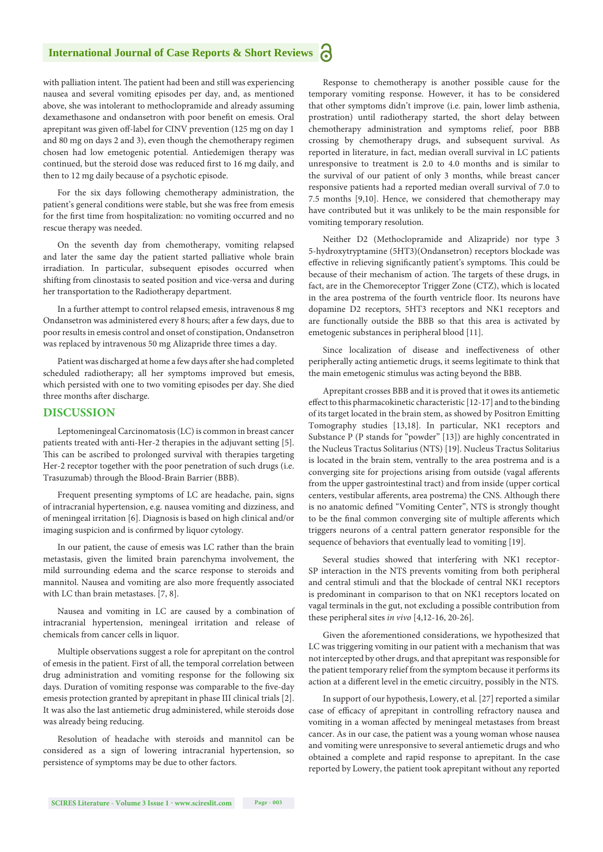#### **International Journal of Case Reports & Short Reviews** Ы

with palliation intent. The patient had been and still was experiencing nausea and several vomiting episodes per day, and, as mentioned above, she was intolerant to methoclopramide and already assuming dexamethasone and ondansetron with poor benefit on emesis. Oral aprepitant was given off-label for CINV prevention (125 mg on day 1 and 80 mg on days 2 and 3), even though the chemotherapy regimen chosen had low emetogenic potential. Antiedemigen therapy was continued, but the steroid dose was reduced first to 16 mg daily, and then to 12 mg daily because of a psychotic episode.

For the six days following chemotherapy administration, the patient's general conditions were stable, but she was free from emesis for the first time from hospitalization: no vomiting occurred and no rescue therapy was needed.

On the seventh day from chemotherapy, vomiting relapsed and later the same day the patient started palliative whole brain irradiation. In particular, subsequent episodes occurred when shifting from clinostasis to seated position and vice-versa and during her transportation to the Radiotherapy department.

In a further attempt to control relapsed emesis, intravenous 8 mg Ondansetron was administered every 8 hours; after a few days, due to poor results in emesis control and onset of constipation, Ondansetron was replaced by intravenous 50 mg Alizapride three times a day.

Patient was discharged at home a few days after she had completed scheduled radiotherapy; all her symptoms improved but emesis, which persisted with one to two vomiting episodes per day. She died three months after discharge.

#### **DISCUSSION**

Leptomeningeal Carcinomatosis (LC) is common in breast cancer patients treated with anti-Her-2 therapies in the adjuvant setting [5]. This can be ascribed to prolonged survival with therapies targeting Her-2 receptor together with the poor penetration of such drugs (i.e. Trasuzumab) through the Blood-Brain Barrier (BBB).

Frequent presenting symptoms of LC are headache, pain, signs of intracranial hypertension, e.g. nausea vomiting and dizziness, and of meningeal irritation [6]. Diagnosis is based on high clinical and/or imaging suspicion and is confirmed by liquor cytology.

In our patient, the cause of emesis was LC rather than the brain metastasis, given the limited brain parenchyma involvement, the mild surrounding edema and the scarce response to steroids and mannitol. Nausea and vomiting are also more frequently associated with LC than brain metastases. [7, 8].

Nausea and vomiting in LC are caused by a combination of intracranial hypertension, meningeal irritation and release of chemicals from cancer cells in liquor.

Multiple observations suggest a role for aprepitant on the control of emesis in the patient. First of all, the temporal correlation between drug administration and vomiting response for the following six days. Duration of vomiting response was comparable to the five-day emesis protection granted by aprepitant in phase III clinical trials [2]. It was also the last antiemetic drug administered, while steroids dose was already being reducing.

Resolution of headache with steroids and mannitol can be considered as a sign of lowering intracranial hypertension, so persistence of symptoms may be due to other factors.

Response to chemotherapy is another possible cause for the temporary vomiting response. However, it has to be considered that other symptoms didn't improve (i.e. pain, lower limb asthenia, prostration) until radiotherapy started, the short delay between chemotherapy administration and symptoms relief, poor BBB crossing by chemotherapy drugs, and subsequent survival. As reported in literature, in fact, median overall survival in LC patients unresponsive to treatment is 2.0 to 4.0 months and is similar to the survival of our patient of only 3 months, while breast cancer responsive patients had a reported median overall survival of 7.0 to 7.5 months [9,10]. Hence, we considered that chemotherapy may have contributed but it was unlikely to be the main responsible for vomiting temporary resolution.

Neither D2 (Methoclopramide and Alizapride) nor type 3 5-hydroxytryptamine (5HT3)(Ondansetron) receptors blockade was effective in relieving significantly patient's symptoms. This could be because of their mechanism of action. The targets of these drugs, in fact, are in the Chemoreceptor Trigger Zone (CTZ), which is located in the area postrema of the fourth ventricle floor. Its neurons have dopamine D2 receptors, 5HT3 receptors and NK1 receptors and are functionally outside the BBB so that this area is activated by emetogenic substances in peripheral blood [11].

Since localization of disease and ineffectiveness of other peripherally acting antiemetic drugs, it seems legitimate to think that the main emetogenic stimulus was acting beyond the BBB.

Aprepitant crosses BBB and it is proved that it owes its antiemetic effect to this pharmacokinetic characteristic [12-17] and to the binding of its target located in the brain stem, as showed by Positron Emitting Tomography studies [13,18]. In particular, NK1 receptors and Substance P (P stands for "powder" [13]) are highly concentrated in the Nucleus Tractus Solitarius (NTS) [19]. Nucleus Tractus Solitarius is located in the brain stem, ventrally to the area postrema and is a converging site for projections arising from outside (vagal afferents from the upper gastrointestinal tract) and from inside (upper cortical centers, vestibular afferents, area postrema) the CNS. Although there is no anatomic defined "Vomiting Center", NTS is strongly thought to be the final common converging site of multiple afferents which triggers neurons of a central pattern generator responsible for the sequence of behaviors that eventually lead to vomiting [19].

Several studies showed that interfering with NK1 receptor-SP interaction in the NTS prevents vomiting from both peripheral and central stimuli and that the blockade of central NK1 receptors is predominant in comparison to that on NK1 receptors located on vagal terminals in the gut, not excluding a possible contribution from these peripheral sites *in vivo* [4,12-16, 20-26].

Given the aforementioned considerations, we hypothesized that LC was triggering vomiting in our patient with a mechanism that was not intercepted by other drugs, and that aprepitant was responsible for the patient temporary relief from the symptom because it performs its action at a different level in the emetic circuitry, possibly in the NTS.

In support of our hypothesis, Lowery, et al. [27] reported a similar case of efficacy of aprepitant in controlling refractory nausea and vomiting in a woman affected by meningeal metastases from breast cancer. As in our case, the patient was a young woman whose nausea and vomiting were unresponsive to several antiemetic drugs and who obtained a complete and rapid response to aprepitant. In the case reported by Lowery, the patient took aprepitant without any reported